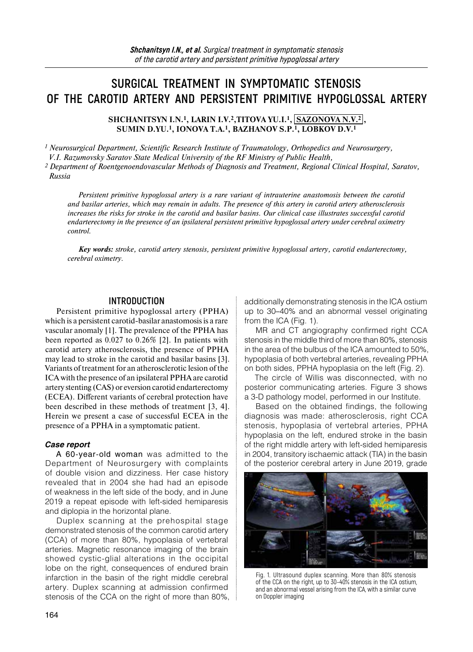# **SURGICAL TREATMENT IN SYMPTOMATIC STENOSIS OF THE CAROTID ARTERY AND PERSISTENT PRIMITIVE HYPOGLOSSAL ARTERY**

**SHCHANITSYN I.N.1, LARIN I.V.2,TITOVA YU.I.1, SAZONOVA N.V.2 , SUMIN D.YU.1, IONOVA T.A.1, BAZHANOV S.P.1, LOBKOV D.V.1**

*<sup>1</sup> Neurosurgical Department, Scientific Research Institute of Traumatology, Orthopedics and Neurosurgery, V.I. Razumovsky Saratov State Medical University of the RF Ministry of Public Health,* 

*<sup>2</sup> Department of Roentgenoendovascular Methods of Diagnosis and Treatment, Regional Clinical Hospital, Saratov, Russia* 

*Persistent primitive hypoglossal artery is a rare variant of intrauterine anastomosis between the carotid and basilar arteries, which may remain in adults. The presence of this artery in carotid artery atherosclerosis increases the risks for stroke in the carotid and basilar basins. Our clinical case illustrates successful carotid endarterectomy in the presence of an ipsilateral persistent primitive hypoglossal artery under cerebral oximetry control.* 

*Key words: stroke, carotid artery stenosis, persistent primitive hypoglossal artery, carotid endarterectomy, cerebral oximetry.* 

## **INTRODUCTION**

Persistent primitive hypoglossal artery (PPHA) which is a persistent carotid-basilar anastomosis is a rare vascular anomaly [1]. The prevalence of the PPHA has been reported as 0.027 to 0.26% [2]. In patients with carotid artery atherosclerosis, the presence of PPHA may lead to stroke in the carotid and basilar basins [3]. Variants of treatment for an atherosclerotic lesion of the ICA with the presence of an ipsilateral PPHA are carotid artery stenting (CAS) or eversion carotid endarterectomy (ECEA). Different variants of cerebral protection have been described in these methods of treatment [3, 4]. Herein we present a case of successful ECEA in the presence of a PPHA in a symptomatic patient.

#### *Case report*

A 60-year-old woman was admitted to the Department of Neurosurgery with complaints of double vision and dizziness. Her case history revealed that in 2004 she had had an episode of weakness in the left side of the body, and in June 2019 a repeat episode with left-sided hemiparesis and diplopia in the horizontal plane.

Duplex scanning at the prehospital stage demonstrated stenosis of the common carotid artery (CCA) of more than 80%, hypoplasia of vertebral arteries. Magnetic resonance imaging of the brain showed cystic-glial alterations in the occipital lobe on the right, consequences of endured brain infarction in the basin of the right middle cerebral artery. Duplex scanning at admission confirmed stenosis of the CCA on the right of more than 80%, additionally demonstrating stenosis in the ICA ostium up to 30–40% and an abnormal vessel originating from the ICA (Fig. 1).

MR and CT angiography confirmed right CCA stenosis in the middle third of more than 80%, stenosis in the area of the bulbus of the ICA amounted to 50%, hypoplasia of both vertebral arteries, revealing PPHA on both sides, PPHA hypoplasia on the left (Fig. 2).

The circle of Willis was disconnected, with no posterior communicating arteries. Figure 3 shows a 3-D pathology model, performed in our Institute.

Based on the obtained findings, the following diagnosis was made: atherosclerosis, right CCA stenosis, hypoplasia of vertebral arteries, PPHA hypoplasia on the left, endured stroke in the basin of the right middle artery with left-sided hemiparesis in 2004, transitory ischaemic attack (TIA) in the basin of the posterior cerebral artery in June 2019, grade



Fig. 1. Ultrasound duplex scanning. More than 80% stenosis of the CCA on the right, up to 30–40% stenosis in the ICA ostium, and an abnormal vessel arising from the ICA, with a similar curve on Doppler imaging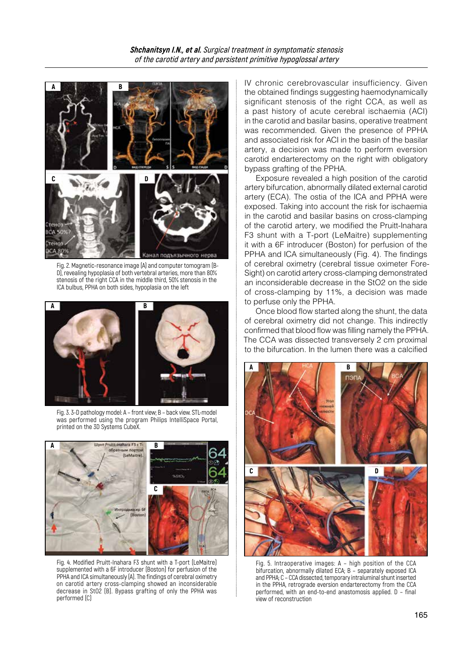

Fig. 2. Magnetic-resonance image (A) and computer tomogram (B-D), revealing hypoplasia of both vertebral arteries, more than 80% stenosis of the right CCA in the middle third, 50% stenosis in the ICA bulbus, PPHA on both sides, hypoplasia on the left



Fig. 3. 3-D pathology model: A – front view; B – back view. STL-model was performed using the program Philips IntelliSpace Portal, printed on the 3D Systems CubeX.



Fig. 4. Modified Pruitt-Inahara F3 shunt with a T-port (LeMaitre) supplemented with a 6F introducer (Boston) for perfusion of the PPHA and ICA simultaneously (A). The findings of cerebral oximetry on carotid artery cross-clamping showed an inconsiderable decrease in StO2 (B). Bypass grafting of only the PPHA was performed (C)

IV chronic cerebrovascular insufficiency. Given the obtained findings suggesting haemodynamically significant stenosis of the right CCA, as well as a past history of acute cerebral ischaemia (ACI) in the carotid and basilar basins, operative treatment was recommended. Given the presence of PPHA and associated risk for ACI in the basin of the basilar artery, a decision was made to perform eversion carotid endarterectomy on the right with obligatory bypass grafting of the PPHA.

Exposure revealed a high position of the carotid artery bifurcation, abnormally dilated external carotid artery (ECA). The ostia of the ICA and PPHA were exposed. Taking into account the risk for ischaemia in the carotid and basilar basins on cross-clamping of the carotid artery, we modified the Pruitt-Inahara F3 shunt with a T-port (LeMaitre) supplementing it with a 6F introducer (Boston) for perfusion of the PPHA and ICA simultaneously (Fig. 4). The findings of cerebral oximetry (cerebral tissue oximeter Fore-Sight) on carotid artery cross-clamping demonstrated an inconsiderable decrease in the StO2 on the side of cross-clamping by 11%, a decision was made to perfuse only the PPHA.

Once blood flow started along the shunt, the data of cerebral oximetry did not change. This indirectly confirmed that blood flow was filling namely the PPHA. The CCA was dissected transversely 2 cm proximal to the bifurcation. In the lumen there was a calcified



Fig. 5. Intraoperative images: A – high position of the CCA bifurcation, abnormally dilated ECA; B – separately exposed ICA and PPHA; C – CCA dissected, temporary intraluminal shunt inserted in the PPHA, retrograde eversion endarterectomy from the CCA performed, with an end-to-end anastomosis applied. D – final view of reconstruction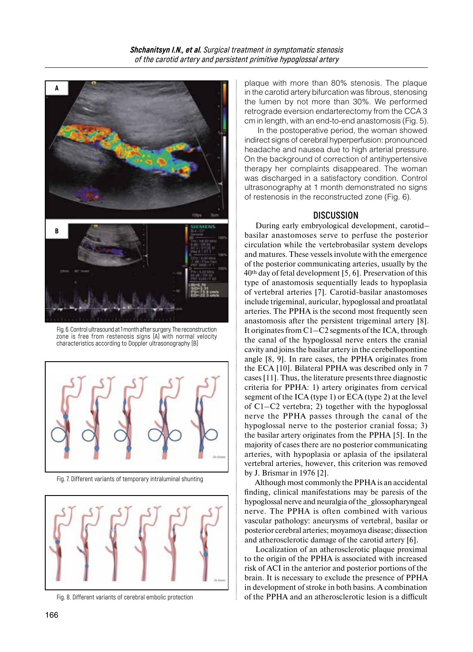

Fig. 6. Control ultrasound at1 month after surgery. The reconstruction zone is free from restenosis signs (A) with normal velocity characteristics according to Doppler ultrasonography (B)



Fig. 7. Different variants of temporary intraluminal shunting



Fig. 8. Different variants of cerebral embolic protection

plaque with more than 80% stenosis. The plaque in the carotid artery bifurcation was fibrous, stenosing the lumen by not more than 30%. We performed retrograde eversion endarterectomy from the CCA 3 cm in length, with an end-to-end anastomosis (Fig. 5).

 In the postoperative period, the woman showed indirect signs of cerebral hyperperfusion: pronounced headache and nausea due to high arterial pressure. On the background of correction of antihypertensive therapy her complaints disappeared. The woman was discharged in a satisfactory condition. Control ultrasonography at 1 month demonstrated no signs of restenosis in the reconstructed zone (Fig. 6).

### **DISCUSSION**

During early embryological development, carotid– basilar anastomoses serve to perfuse the posterior circulation while the vertebrobasilar system develops and matures. These vessels involute with the emergence of the posterior communicating arteries, usually by the 40th day of fetal development [5, 6]. Preservation of this type of anastomosis sequentially leads to hypoplasia of vertebral arteries [7]. Carotid-basilar anastomoses include trigeminal, auricular, hypoglossal and proatlatal arteries. The PPHA is the second most frequently seen anastomosis after the persistent trigeminal artery [8]. It originates from C1–C2 segments of the ICA, through the canal of the hypoglossal nerve enters the cranial cavity and joins the basilar artery in the cerebellopontine angle [8, 9]. In rare cases, the PPHA originates from the ECA [10]. Bilateral PPHA was described only in 7 cases [11]. Thus, the literature presents three diagnostic criteria for PPHA: 1) artery originates from cervical segment of the ICA (type 1) or ECA (type 2) at the level of C1–C2 vertebra; 2) together with the hypoglossal nerve the PPHA passes through the canal of the hypoglossal nerve to the posterior cranial fossa; 3) the basilar artery originates from the PPHA [5]. In the majority of cases there are no posterior communicating arteries, with hypoplasia or aplasia of the ipsilateral vertebral arteries, however, this criterion was removed by J. Brismar in 1976 [2].

Although most commonly the PPHA is an accidental finding, clinical manifestations may be paresis of the hypoglossal nerve and neuralgia of the\_glossopharyngeal nerve. The PPHA is often combined with various vascular pathology: aneurysms of vertebral, basilar or posterior cerebral arteries; moyamoya disease; dissection and atherosclerotic damage of the carotid artery [6].

Localization of an atherosclerotic plaque proximal to the origin of the PPHA is associated with increased risk of ACI in the anterior and posterior portions of the brain. It is necessary to exclude the presence of PPHA in development of stroke in both basins. A combination of the PPHA and an atherosclerotic lesion is a difficult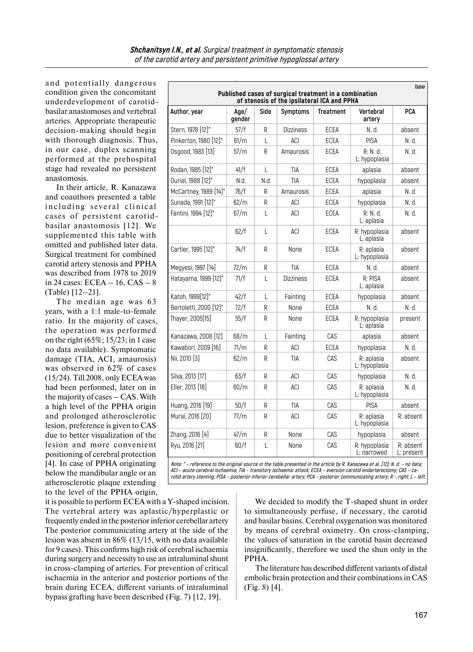and potentially dangerous condition given the concomitant underdevelopment of carotidbasilar anastomoses and vertebral arteries. Appropriate therapeutic decision-making should begin with thorough diagnosis. Thus, in our case, duplex scanning performed at the prehospital stage had revealed no persistent anastomosis.

In their article, R. Kanazawa and coauthors presented a table including several clinical cases of persistent carotidbasilar anastomosis [12]. We supplemented this table with omitted and published later data. Surgical treatment for combined carotid artery stenosis and PPHA was described from 1978 to 2019 in 24 cases: ECEA – 16, CAS – 8 (Table) [12–21].

The median age was 63 years, with a 1:1 male-to-female ratio. In the majority of cases, the operation was performed on the right (65%; 15/23; in 1 case no data available). Symptomatic damage (TIA, ACI, amaurosis) was observed in 62% of cases (15/24). Till 2008, only ECEA was had been performed, later on in the majority of cases – CAS. With a high level of the PPHA origin and prolonged atherosclerotic lesion, preference is given to CAS due to better visualization of the lesion and more convenient positioning of cerebral protection [4]. In case of PPHA originating below the mandibular angle or an atherosclerotic plaque extending to the level of the PPHA origin,

| <b>Table</b><br>Published cases of surgical treatment in a combination<br>of stenosis of the ipsilateral ICA and PPHA |                |             |                  |                  |                              |                         |
|-----------------------------------------------------------------------------------------------------------------------|----------------|-------------|------------------|------------------|------------------------------|-------------------------|
| Author, year                                                                                                          | Age/<br>gender | Side        | Symptoms         | <b>Treatment</b> | Vertebral<br>artery          | <b>PCA</b>              |
| Stern, 1978 [12]*                                                                                                     | 57/f           | R           | Dizziness        | <b>FCFA</b>      | N. d.                        | absent                  |
| Pinkerton, 1980 [12]*                                                                                                 | 61/m           | L           | ACI              | ECEA             | <b>PISA</b>                  | N. d.                   |
| Osgood, 1983 [13]                                                                                                     | 57/m           | R           | Amaurosis        | ECEA             | R: N. d.<br>L: hypoplasia    | N. d.                   |
| Rodan, 1985 [12]*                                                                                                     | 41/f           | L           | TIA              | ECEA             | aplasia                      | absent                  |
| Ouriel, 1988 [12]*                                                                                                    | N.d.           | N.d.        | TIA              | <b>ECEA</b>      | hypoplasia                   | absent                  |
| McCartney, 1989 [14]*                                                                                                 | 76/f           | R           | Amaurosis        | ECEA             | aplasia                      | N. d.                   |
| Sunada, 1991 [12]*                                                                                                    | 62/m           | R           | ACI              | ECEA             | hypoplasia                   | N. d.                   |
| Fantini, 1994 [12]*                                                                                                   | 67/m           | L           | ACI              | ECEA             | R: N.d.<br>L: aplasia        | N. d.                   |
|                                                                                                                       | 62/f           | L           | <b>ACI</b>       | <b>ECEA</b>      | R: hypoplasia<br>L: aplasia  | absent                  |
| Cartier, 1995 [12]*                                                                                                   | 74/f           | R           | None             | ECEA             | R: aplasia<br>L: hypoplasia  | absent                  |
| Megyesi, 1997 [14]                                                                                                    | 72/m           | R           | TIA              | ECEA             | N. d.                        | absent                  |
| Hatayama, 1999 [12]*                                                                                                  | 71/f           | L           | <b>Dizziness</b> | ECEA             | R: PISA<br>L: aplasia        | absent                  |
| Katoh, 1999[12]*                                                                                                      | 42/f           | L           | Fainting         | ECEA             | hypoplasia                   | absent                  |
| Bertoletti, 2000 [12]*                                                                                                | 72/f           | R           | None             | ECEA             | N. d.                        | N. d.                   |
| Thayer, 2005[15]                                                                                                      | 55/f           | R           | None             | ECEA             | R: hypoplasia<br>L: aplasia  | present                 |
| Kanazawa, 2008 [12]                                                                                                   | 68/m           | L           | Fainting         | CAS              | aplasia                      | absent                  |
| Kawabori, 2009 [16]                                                                                                   | 71/m           | R           | <b>ACI</b>       | ECEA             | hypoplasia                   | N. d.                   |
| Nii, 2010 [3]                                                                                                         | 62/m           | R           | TIA              | CAS              | R: aplasia<br>L: hypoplasia  | absent                  |
| Silva, 2013 [17]                                                                                                      | 63/f           | R           | ACI              | CAS              | hypoplasia                   | h N                     |
| Eller, 2013 [18]                                                                                                      | 60/m           | R           | ACI              | CAS              | R: aplasia<br>L: hypoplasia  | h N                     |
| Huang, 2016 [19]                                                                                                      | 50/f           | R           | <b>TIA</b>       | CAS              | <b>PISA</b>                  | absent                  |
| Murai, 2016 [20]                                                                                                      | 77/m           | $\mathsf R$ | ACI              | CAS              | R: aplasia<br>L: hypoplasia  | R: absent               |
| Zhang, 2016 [4]                                                                                                       | 47/m           | R           | None             | CAS              | hypoplasia                   | absent                  |
| Ryu, 2016 [21]                                                                                                        | 60/f           | L           | None             | CAS              | R: hypoplasia<br>L: narrowed | R: absent<br>L: present |

**Note: \* – reference to the original source in the table presented in the article by R. Kanazawa et al. [12]; N. d. – no data; ACI – acute cerebral ischaemia; TIA – transitory ischaemic attack; ECEA – eversion carotid endarterectomy; CAS – carotid artery stenting; PISA – posterior inferior cerebellar artery; PCA – posterior communicating artery; R – right; L – left.** 

it is possible to perform ECEA with a Y-shaped incision. The vertebral artery was aplastic/hyperplastic or frequently ended in the posterior inferior cerebellar artery The posterior communicating artery at the side of the lesion was absent in 86% (13/15, with no data available for 9 cases). This confirms high risk of cerebral ischaemia during surgery and necessity to use an intraluminal shunt in cross-clamping of arteries. For prevention of critical ischaemia in the anterior and posterior portions of the brain during ECEA, different variants of intraluminal bypass grafting have been described (Fig. 7) [12, 19].

We decided to modify the T-shaped shunt in order to simultaneously perfuse, if necessary, the carotid and basilar basins. Cerebral oxygenation was monitored by means of cerebral oximetry. On cross-clamping, the values of saturation in the carotid basin decreased insignificantly, therefore we used the shun only in the PPHA.

The literature has described different variants of distal embolic brain protection and their combinations in CAS (Fig. 8) [4].